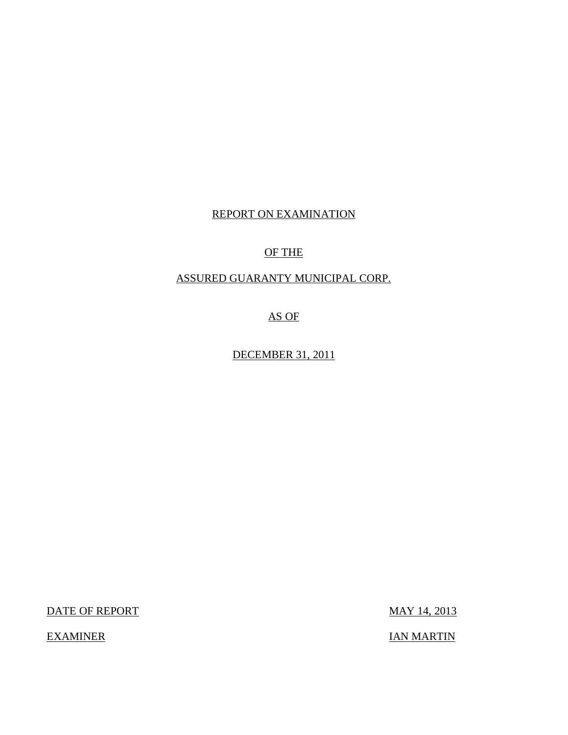## REPORT ON EXAMINATION

## OF THE

## ASSURED GUARANTY MUNICIPAL CORP.

AS OF

DECEMBER 31, 2011

DATE OF REPORT MAY 14, 2013

EXAMINER IAN MARTIN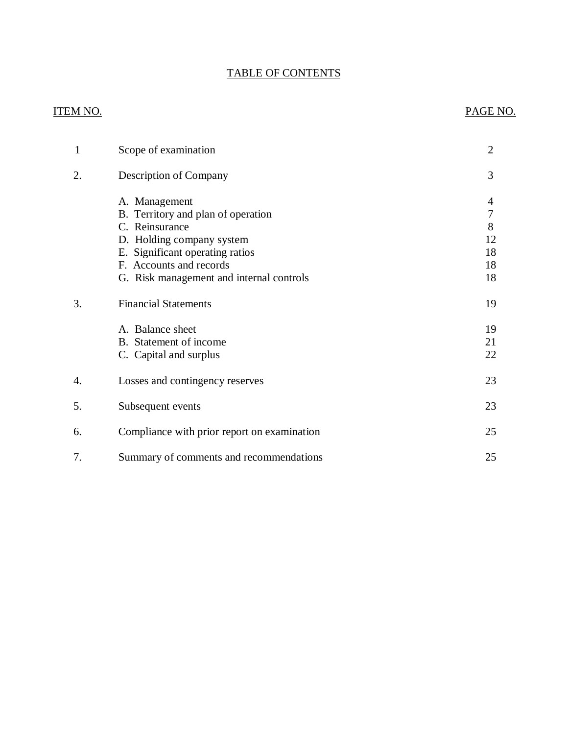## TABLE OF CONTENTS

### ITEM NO. PAGE NO.

| 1  | Scope of examination                                                                                                                                                                                         | $\overline{2}$                           |
|----|--------------------------------------------------------------------------------------------------------------------------------------------------------------------------------------------------------------|------------------------------------------|
| 2. | Description of Company                                                                                                                                                                                       | 3                                        |
|    | A. Management<br>B. Territory and plan of operation<br>C. Reinsurance<br>D. Holding company system<br>E. Significant operating ratios<br>F. Accounts and records<br>G. Risk management and internal controls | 4<br>$\tau$<br>8<br>12<br>18<br>18<br>18 |
| 3. | <b>Financial Statements</b>                                                                                                                                                                                  | 19                                       |
|    | A. Balance sheet<br>B. Statement of income<br>C. Capital and surplus                                                                                                                                         | 19<br>21<br>22                           |
| 4. | Losses and contingency reserves                                                                                                                                                                              | 23                                       |
| 5. | Subsequent events                                                                                                                                                                                            | 23                                       |
| 6. | Compliance with prior report on examination                                                                                                                                                                  | 25                                       |
| 7. | Summary of comments and recommendations                                                                                                                                                                      | 25                                       |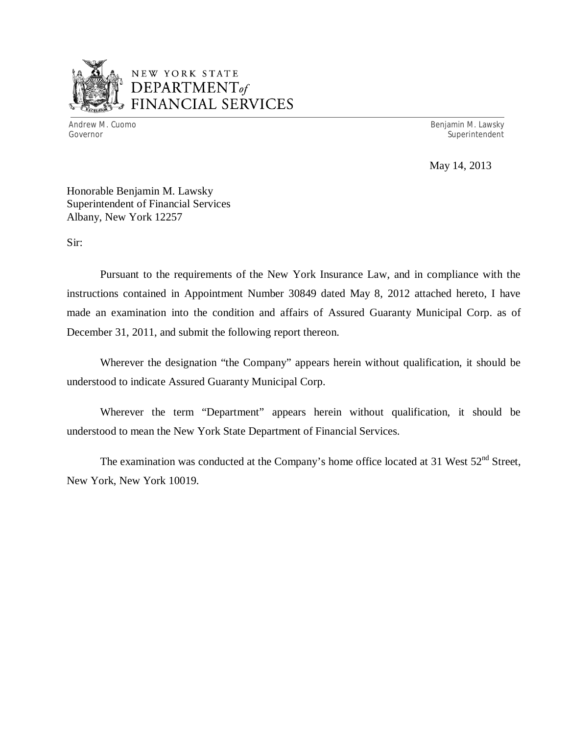

## NEW YORK STATE *DEPARTMENTof*  FINANCIAL SERVICES

Andrew M. Cuomo **Benjamin M. Lawsky** Governor Superintendent Superintendent Superintendent Superintendent Superintendent Superintendent Superintendent

May 14, 2013

Honorable Benjamin M. Lawsky Superintendent of Financial Services Albany, New York 12257

Sir:

Pursuant to the requirements of the New York Insurance Law, and in compliance with the instructions contained in Appointment Number 30849 dated May 8, 2012 attached hereto, I have made an examination into the condition and affairs of Assured Guaranty Municipal Corp. as of December 31, 2011, and submit the following report thereon.

Wherever the designation "the Company" appears herein without qualification, it should be understood to indicate Assured Guaranty Municipal Corp.

Wherever the term "Department" appears herein without qualification, it should be understood to mean the New York State Department of Financial Services.

The examination was conducted at the Company's home office located at 31 West  $52<sup>nd</sup>$  Street, New York, New York 10019.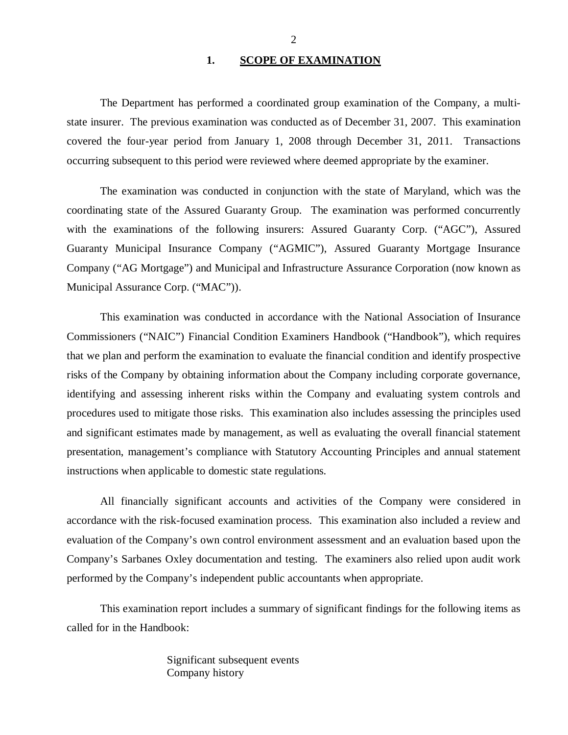#### 1. SCOPE OF EXAMINATION

<span id="page-3-0"></span>The Department has performed a coordinated group examination of the Company*,* a multistate insurer. The previous examination was conducted as of December 31, 2007. This examination covered the four-year period from January 1, 2008 through December 31, 2011. Transactions occurring subsequent to this period were reviewed where deemed appropriate by the examiner.

The examination was conducted in conjunction with the state of Maryland, which was the coordinating state of the Assured Guaranty Group. The examination was performed concurrently with the examinations of the following insurers: Assured Guaranty Corp. ("AGC"), Assured Guaranty Municipal Insurance Company ("AGMIC"), Assured Guaranty Mortgage Insurance Company ("AG Mortgage") and Municipal and Infrastructure Assurance Corporation (now known as Municipal Assurance Corp. ("MAC")).

This examination was conducted in accordance with the National Association of Insurance Commissioners ("NAIC") Financial Condition Examiners Handbook ("Handbook"), which requires that we plan and perform the examination to evaluate the financial condition and identify prospective risks of the Company by obtaining information about the Company including corporate governance, identifying and assessing inherent risks within the Company and evaluating system controls and procedures used to mitigate those risks. This examination also includes assessing the principles used and significant estimates made by management, as well as evaluating the overall financial statement presentation, management's compliance with Statutory Accounting Principles and annual statement instructions when applicable to domestic state regulations.

All financially significant accounts and activities of the Company were considered in accordance with the risk-focused examination process. This examination also included a review and evaluation of the Company's own control environment assessment and an evaluation based upon the Company's Sarbanes Oxley documentation and testing. The examiners also relied upon audit work performed by the Company's independent public accountants when appropriate.

This examination report includes a summary of significant findings for the following items as called for in the Handbook:

> Significant subsequent events Company history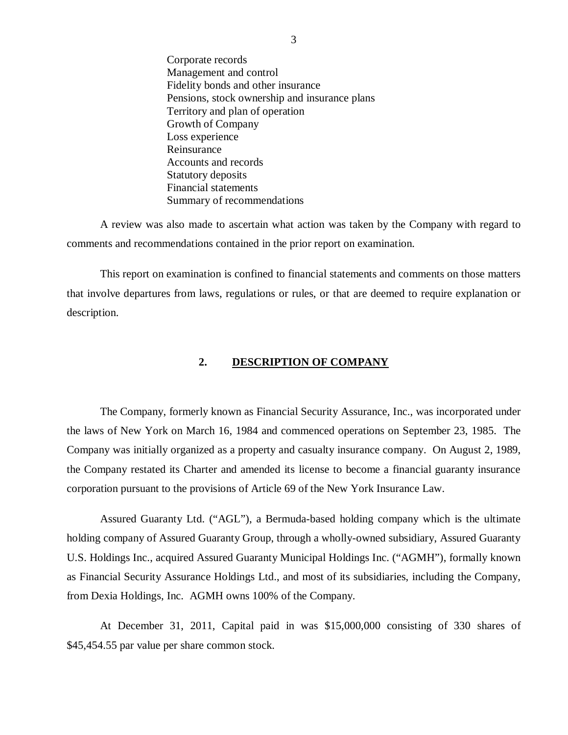<span id="page-4-0"></span>Corporate records Management and control Fidelity bonds and other insurance Pensions, stock ownership and insurance plans Territory and plan of operation Growth of Company Loss experience Reinsurance Accounts and records Statutory deposits Financial statements Summary of recommendations

A review was also made to ascertain what action was taken by the Company with regard to comments and recommendations contained in the prior report on examination.

This report on examination is confined to financial statements and comments on those matters that involve departures from laws, regulations or rules, or that are deemed to require explanation or description.

#### **2. DESCRIPTION OF COMPANY**

The Company, formerly known as Financial Security Assurance, Inc., was incorporated under the laws of New York on March 16, 1984 and commenced operations on September 23, 1985. The Company was initially organized as a property and casualty insurance company. On August 2, 1989, the Company restated its Charter and amended its license to become a financial guaranty insurance corporation pursuant to the provisions of Article 69 of the New York Insurance Law.

Assured Guaranty Ltd. ("AGL"), a Bermuda-based holding company which is the ultimate holding company of Assured Guaranty Group, through a wholly-owned subsidiary, Assured Guaranty U.S. Holdings Inc., acquired Assured Guaranty Municipal Holdings Inc. ("AGMH"), formally known as Financial Security Assurance Holdings Ltd., and most of its subsidiaries, including the Company, from Dexia Holdings, Inc. AGMH owns 100% of the Company.

At December 31, 2011, Capital paid in was \$15,000,000 consisting of 330 shares of \$[45,454.55](https://45,454.55) par value per share common stock.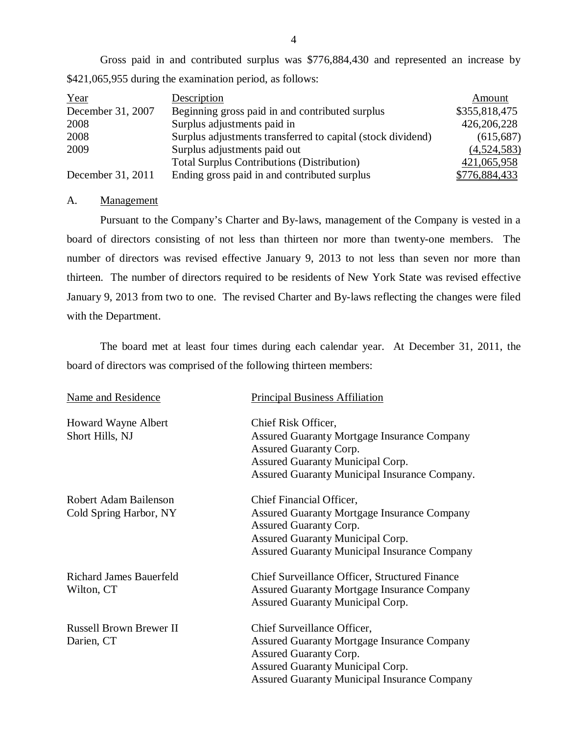Gross paid in and contributed surplus was \$776,884,430 and represented an increase by \$421,065,955 during the examination period, as follows:

| Year              | Description                                                 | Amount        |
|-------------------|-------------------------------------------------------------|---------------|
| December 31, 2007 | Beginning gross paid in and contributed surplus             | \$355,818,475 |
| 2008              | Surplus adjustments paid in                                 | 426,206,228   |
| 2008              | Surplus adjustments transferred to capital (stock dividend) | (615, 687)    |
| 2009              | Surplus adjustments paid out                                | (4,524,583)   |
|                   | <b>Total Surplus Contributions (Distribution)</b>           | 421,065,958   |
| December 31, 2011 | Ending gross paid in and contributed surplus                | \$776,884,433 |

#### A. Management

Pursuant to the Company's Charter and By-laws, management of the Company is vested in a board of directors consisting of not less than thirteen nor more than twenty-one members. The number of directors was revised effective January 9, 2013 to not less than seven nor more than thirteen. The number of directors required to be residents of New York State was revised effective January 9, 2013 from two to one. The revised Charter and By-laws reflecting the changes were filed with the Department.

The board met at least four times during each calendar year. At December 31, 2011, the board of directors was comprised of the following thirteen members:

| Name and Residence                              | <b>Principal Business Affiliation</b>                                                                                                                                                                             |
|-------------------------------------------------|-------------------------------------------------------------------------------------------------------------------------------------------------------------------------------------------------------------------|
| Howard Wayne Albert<br>Short Hills, NJ          | Chief Risk Officer,<br><b>Assured Guaranty Mortgage Insurance Company</b><br>Assured Guaranty Corp.<br>Assured Guaranty Municipal Corp.<br>Assured Guaranty Municipal Insurance Company.                          |
| Robert Adam Bailenson<br>Cold Spring Harbor, NY | Chief Financial Officer,<br><b>Assured Guaranty Mortgage Insurance Company</b><br><b>Assured Guaranty Corp.</b><br><b>Assured Guaranty Municipal Corp.</b><br><b>Assured Guaranty Municipal Insurance Company</b> |
| <b>Richard James Bauerfeld</b><br>Wilton, CT    | <b>Chief Surveillance Officer, Structured Finance</b><br><b>Assured Guaranty Mortgage Insurance Company</b><br>Assured Guaranty Municipal Corp.                                                                   |
| <b>Russell Brown Brewer II</b><br>Darien, CT    | Chief Surveillance Officer,<br><b>Assured Guaranty Mortgage Insurance Company</b><br>Assured Guaranty Corp.<br>Assured Guaranty Municipal Corp.<br><b>Assured Guaranty Municipal Insurance Company</b>            |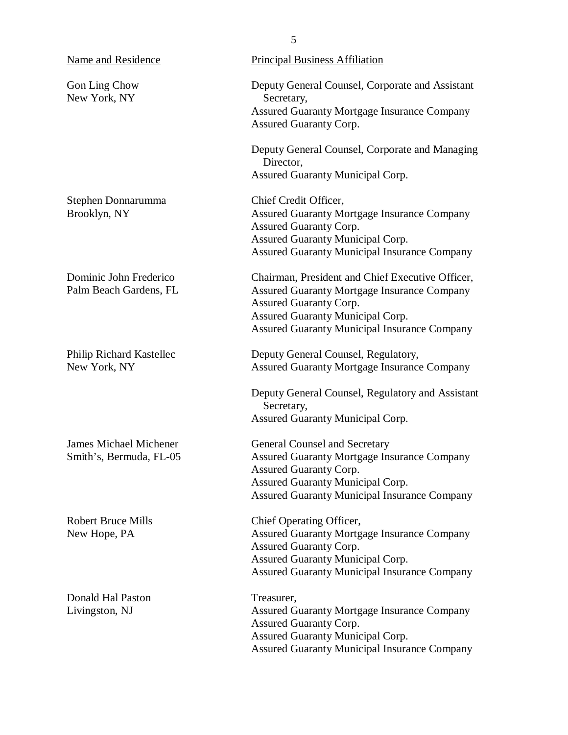Gon Ling Chow New York, NY

Stephen Donnarumma Brooklyn, NY

Dominic John Frederico Palm Beach Gardens, FL

Philip Richard Kastellec New York, NY

James Michael Michener Smith's, Bermuda, FL-05

Robert Bruce Mills New Hope, PA

Donald Hal Paston Livingston, NJ

Deputy General Counsel, Corporate and Assistant Secretary, Assured Guaranty Mortgage Insurance Company Assured Guaranty Corp.

Deputy General Counsel, Corporate and Managing Director, Assured Guaranty Municipal Corp.

Chief Credit Officer, Assured Guaranty Mortgage Insurance Company Assured Guaranty Corp. Assured Guaranty Municipal Corp. Assured Guaranty Municipal Insurance Company

Chairman, President and Chief Executive Officer, Assured Guaranty Mortgage Insurance Company Assured Guaranty Corp. Assured Guaranty Municipal Corp. Assured Guaranty Municipal Insurance Company

Deputy General Counsel, Regulatory, Assured Guaranty Mortgage Insurance Company

Deputy General Counsel, Regulatory and Assistant Secretary, Assured Guaranty Municipal Corp.

General Counsel and Secretary Assured Guaranty Mortgage Insurance Company Assured Guaranty Corp. Assured Guaranty Municipal Corp. Assured Guaranty Municipal Insurance Company

Chief Operating Officer, Assured Guaranty Mortgage Insurance Company Assured Guaranty Corp. Assured Guaranty Municipal Corp. Assured Guaranty Municipal Insurance Company

Treasurer, Assured Guaranty Mortgage Insurance Company Assured Guaranty Corp. Assured Guaranty Municipal Corp. Assured Guaranty Municipal Insurance Company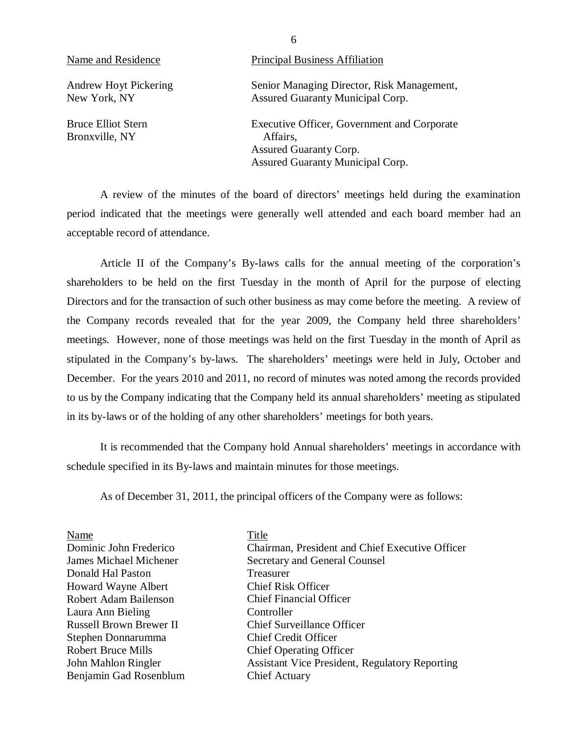| Name and Residence                          | <b>Principal Business Affiliation</b>                                                                                               |
|---------------------------------------------|-------------------------------------------------------------------------------------------------------------------------------------|
| Andrew Hoyt Pickering<br>New York, NY       | Senior Managing Director, Risk Management,<br><b>Assured Guaranty Municipal Corp.</b>                                               |
| <b>Bruce Elliot Stern</b><br>Bronxville, NY | <b>Executive Officer, Government and Corporate</b><br>Affairs,<br><b>Assured Guaranty Corp.</b><br>Assured Guaranty Municipal Corp. |

A review of the minutes of the board of directors' meetings held during the examination period indicated that the meetings were generally well attended and each board member had an acceptable record of attendance.

Article II of the Company's By-laws calls for the annual meeting of the corporation's shareholders to be held on the first Tuesday in the month of April for the purpose of electing Directors and for the transaction of such other business as may come before the meeting. A review of the Company records revealed that for the year 2009, the Company held three shareholders' meetings. However, none of those meetings was held on the first Tuesday in the month of April as stipulated in the Company's by-laws. The shareholders' meetings were held in July, October and December. For the years 2010 and 2011, no record of minutes was noted among the records provided to us by the Company indicating that the Company held its annual shareholders' meeting as stipulated in its by-laws or of the holding of any other shareholders' meetings for both years.

It is recommended that the Company hold Annual shareholders' meetings in accordance with schedule specified in its By-laws and maintain minutes for those meetings.

As of December 31, 2011, the principal officers of the Company were as follows:

| Name                           | Title                                                 |
|--------------------------------|-------------------------------------------------------|
| Dominic John Frederico         | Chairman, President and Chief Executive Officer       |
| <b>James Michael Michener</b>  | Secretary and General Counsel                         |
| Donald Hal Paston              | Treasurer                                             |
| Howard Wayne Albert            | <b>Chief Risk Officer</b>                             |
| Robert Adam Bailenson          | <b>Chief Financial Officer</b>                        |
| Laura Ann Bieling              | Controller                                            |
| <b>Russell Brown Brewer II</b> | <b>Chief Surveillance Officer</b>                     |
| Stephen Donnarumma             | <b>Chief Credit Officer</b>                           |
| <b>Robert Bruce Mills</b>      | <b>Chief Operating Officer</b>                        |
| John Mahlon Ringler            | <b>Assistant Vice President, Regulatory Reporting</b> |
| Benjamin Gad Rosenblum         | <b>Chief Actuary</b>                                  |

6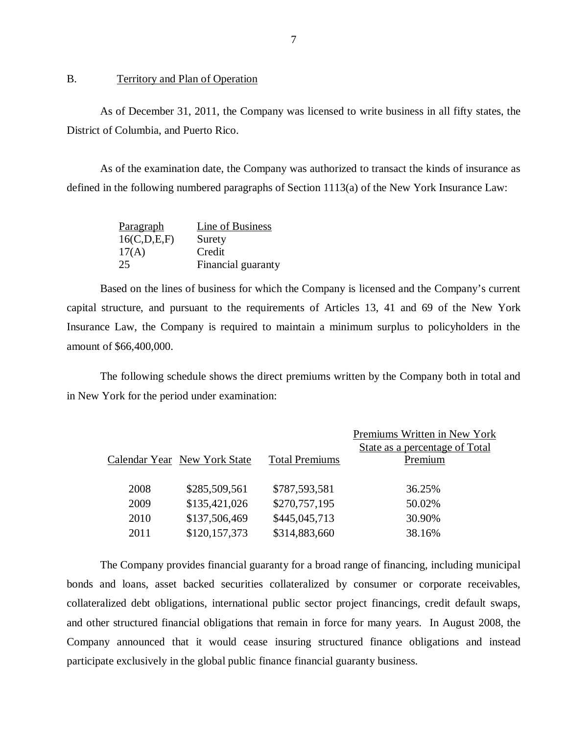#### B. Territory and Plan of Operation

As of December 31, 2011, the Company was licensed to write business in all fifty states, the District of Columbia, and Puerto Rico.

As of the examination date, the Company was authorized to transact the kinds of insurance as defined in the following numbered paragraphs of Section 1113(a) of the New York Insurance Law:

| Paragraph   | Line of Business   |
|-------------|--------------------|
| 16(C,D,E,F) | Surety             |
| 17(A)       | Credit             |
| 25          | Financial guaranty |

Based on the lines of business for which the Company is licensed and the Company's current capital structure, and pursuant to the requirements of Articles 13, 41 and 69 of the New York Insurance Law, the Company is required to maintain a minimum surplus to policyholders in the amount of \$66,400,000.

The following schedule shows the direct premiums written by the Company both in total and in New York for the period under examination:

|      |                              |                       | Premiums Written in New York   |
|------|------------------------------|-----------------------|--------------------------------|
|      |                              |                       | State as a percentage of Total |
|      | Calendar Year New York State | <b>Total Premiums</b> | Premium                        |
|      |                              |                       |                                |
| 2008 | \$285,509,561                | \$787,593,581         | 36.25%                         |
| 2009 | \$135,421,026                | \$270,757,195         | 50.02%                         |
| 2010 | \$137,506,469                | \$445,045,713         | 30.90%                         |
| 2011 | \$120,157,373                | \$314,883,660         | 38.16%                         |
|      |                              |                       |                                |

The Company provides financial guaranty for a broad range of financing, including municipal bonds and loans, asset backed securities collateralized by consumer or corporate receivables, collateralized debt obligations, international public sector project financings, credit default swaps, and other structured financial obligations that remain in force for many years. In August 2008, the Company announced that it would cease insuring structured finance obligations and instead participate exclusively in the global public finance financial guaranty business.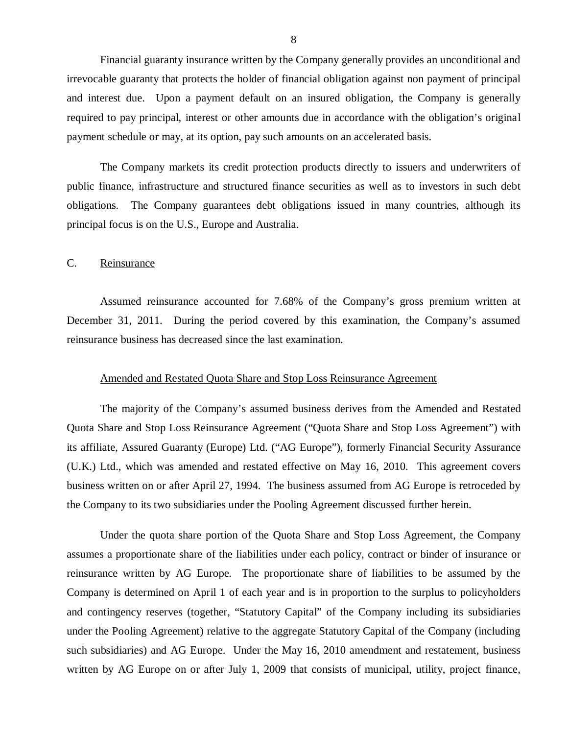<span id="page-9-0"></span>Financial guaranty insurance written by the Company generally provides an unconditional and irrevocable guaranty that protects the holder of financial obligation against non payment of principal and interest due. Upon a payment default on an insured obligation, the Company is generally required to pay principal, interest or other amounts due in accordance with the obligation's original payment schedule or may, at its option, pay such amounts on an accelerated basis.

The Company markets its credit protection products directly to issuers and underwriters of public finance, infrastructure and structured finance securities as well as to investors in such debt obligations. The Company guarantees debt obligations issued in many countries, although its principal focus is on the U.S., Europe and Australia.

#### C. Reinsurance

Assumed reinsurance accounted for 7.68% of the Company's gross premium written at December 31, 2011. During the period covered by this examination, the Company's assumed reinsurance business has decreased since the last examination.

#### Amended and Restated Quota Share and Stop Loss Reinsurance Agreement

The majority of the Company's assumed business derives from the Amended and Restated Quota Share and Stop Loss Reinsurance Agreement ("Quota Share and Stop Loss Agreement") with its affiliate, Assured Guaranty (Europe) Ltd. ("AG Europe"), formerly Financial Security Assurance (U.K.) Ltd., which was amended and restated effective on May 16, 2010. This agreement covers business written on or after April 27, 1994. The business assumed from AG Europe is retroceded by the Company to its two subsidiaries under the Pooling Agreement discussed further herein.

Under the quota share portion of the Quota Share and Stop Loss Agreement, the Company assumes a proportionate share of the liabilities under each policy, contract or binder of insurance or reinsurance written by AG Europe. The proportionate share of liabilities to be assumed by the Company is determined on April 1 of each year and is in proportion to the surplus to policyholders and contingency reserves (together, "Statutory Capital" of the Company including its subsidiaries under the Pooling Agreement) relative to the aggregate Statutory Capital of the Company (including such subsidiaries) and AG Europe. Under the May 16, 2010 amendment and restatement, business written by AG Europe on or after July 1, 2009 that consists of municipal, utility, project finance,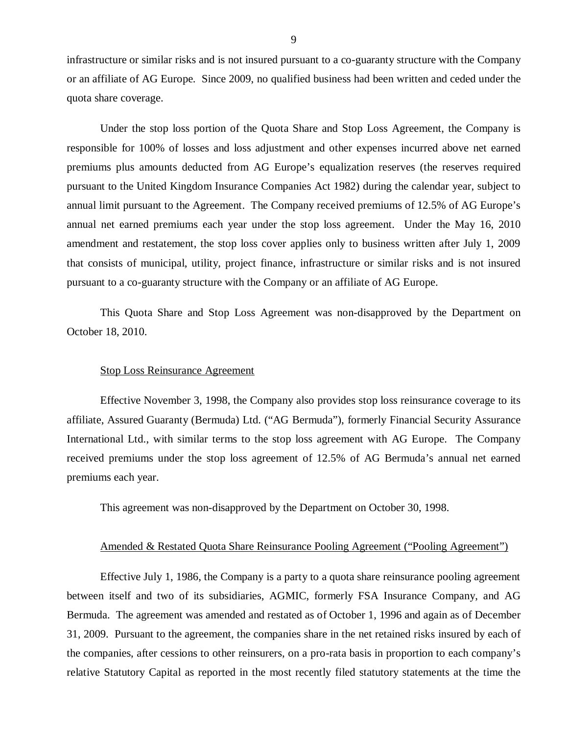infrastructure or similar risks and is not insured pursuant to a co-guaranty structure with the Company or an affiliate of AG Europe. Since 2009, no qualified business had been written and ceded under the quota share coverage.

Under the stop loss portion of the Quota Share and Stop Loss Agreement, the Company is responsible for 100% of losses and loss adjustment and other expenses incurred above net earned premiums plus amounts deducted from AG Europe's equalization reserves (the reserves required pursuant to the United Kingdom Insurance Companies Act 1982) during the calendar year, subject to annual limit pursuant to the Agreement. The Company received premiums of 12.5% of AG Europe's annual net earned premiums each year under the stop loss agreement. Under the May 16, 2010 amendment and restatement, the stop loss cover applies only to business written after July 1, 2009 that consists of municipal, utility, project finance, infrastructure or similar risks and is not insured pursuant to a co-guaranty structure with the Company or an affiliate of AG Europe.

This Quota Share and Stop Loss Agreement was non-disapproved by the Department on October 18, 2010.

#### Stop Loss Reinsurance Agreement

Effective November 3, 1998, the Company also provides stop loss reinsurance coverage to its affiliate, Assured Guaranty (Bermuda) Ltd. ("AG Bermuda"), formerly Financial Security Assurance International Ltd., with similar terms to the stop loss agreement with AG Europe. The Company received premiums under the stop loss agreement of 12.5% of AG Bermuda's annual net earned premiums each year.

This agreement was non-disapproved by the Department on October 30, 1998.

#### Amended & Restated Quota Share Reinsurance Pooling Agreement ("Pooling Agreement")

Effective July 1, 1986, the Company is a party to a quota share reinsurance pooling agreement between itself and two of its subsidiaries, AGMIC, formerly FSA Insurance Company, and AG Bermuda. The agreement was amended and restated as of October 1, 1996 and again as of December 31, 2009. Pursuant to the agreement, the companies share in the net retained risks insured by each of the companies, after cessions to other reinsurers, on a pro-rata basis in proportion to each company's relative Statutory Capital as reported in the most recently filed statutory statements at the time the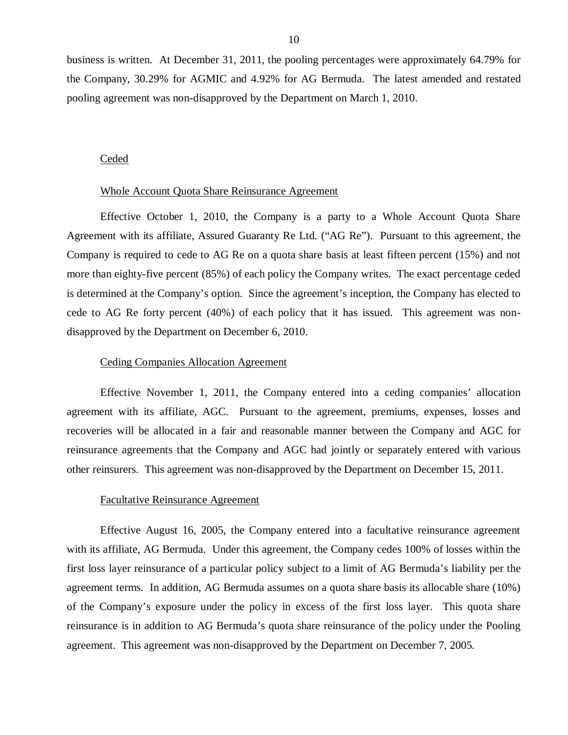business is written. At December 31, 2011, the pooling percentages were approximately 64.79% for the Company, 30.29% for AGMIC and 4.92% for AG Bermuda. The latest amended and restated pooling agreement was non-disapproved by the Department on March 1, 2010.

#### Ceded

#### Whole Account Quota Share Reinsurance Agreement

Effective October 1, 2010, the Company is a party to a Whole Account Quota Share Agreement with its affiliate, Assured Guaranty Re Ltd. ("AG Re"). Pursuant to this agreement, the Company is required to cede to AG Re on a quota share basis at least fifteen percent (15%) and not more than eighty-five percent (85%) of each policy the Company writes. The exact percentage ceded is determined at the Company's option. Since the agreement's inception, the Company has elected to cede to AG Re forty percent (40%) of each policy that it has issued. This agreement was nondisapproved by the Department on December 6, 2010.

#### Ceding Companies Allocation Agreement

Effective November 1, 2011, the Company entered into a ceding companies' allocation agreement with its affiliate, AGC. Pursuant to the agreement, premiums, expenses, losses and recoveries will be allocated in a fair and reasonable manner between the Company and AGC for reinsurance agreements that the Company and AGC had jointly or separately entered with various other reinsurers. This agreement was non-disapproved by the Department on December 15, 2011.

#### Facultative Reinsurance Agreement

Effective August 16, 2005, the Company entered into a facultative reinsurance agreement with its affiliate, AG Bermuda. Under this agreement, the Company cedes 100% of losses within the first loss layer reinsurance of a particular policy subject to a limit of AG Bermuda's liability per the agreement terms. In addition, AG Bermuda assumes on a quota share basis its allocable share (10%) of the Company's exposure under the policy in excess of the first loss layer. This quota share reinsurance is in addition to AG Bermuda's quota share reinsurance of the policy under the Pooling agreement. This agreement was non-disapproved by the Department on December 7, 2005.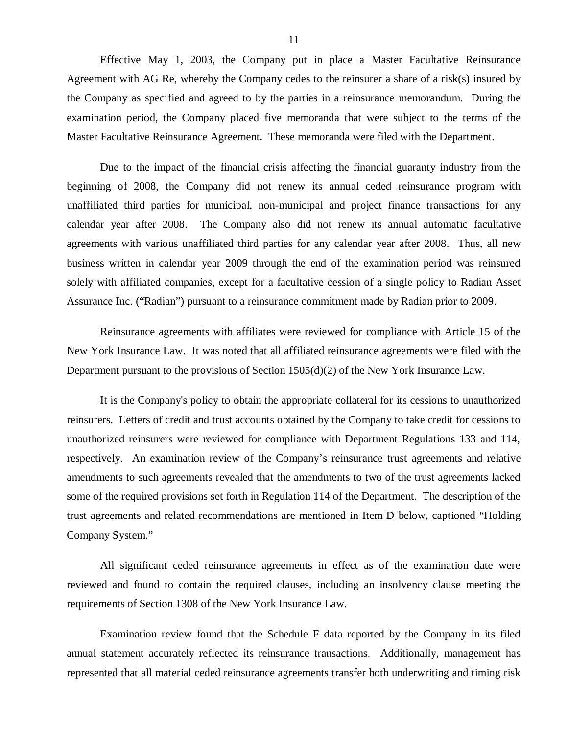Effective May 1, 2003, the Company put in place a Master Facultative Reinsurance Agreement with AG Re, whereby the Company cedes to the reinsurer a share of a risk(s) insured by the Company as specified and agreed to by the parties in a reinsurance memorandum. During the examination period, the Company placed five memoranda that were subject to the terms of the Master Facultative Reinsurance Agreement. These memoranda were filed with the Department.

Due to the impact of the financial crisis affecting the financial guaranty industry from the beginning of 2008, the Company did not renew its annual ceded reinsurance program with unaffiliated third parties for municipal, non-municipal and project finance transactions for any calendar year after 2008. The Company also did not renew its annual automatic facultative agreements with various unaffiliated third parties for any calendar year after 2008. Thus, all new business written in calendar year 2009 through the end of the examination period was reinsured solely with affiliated companies, except for a facultative cession of a single policy to Radian Asset Assurance Inc. ("Radian") pursuant to a reinsurance commitment made by Radian prior to 2009.

Reinsurance agreements with affiliates were reviewed for compliance with Article 15 of the New York Insurance Law. It was noted that all affiliated reinsurance agreements were filed with the Department pursuant to the provisions of Section 1505(d)(2) of the New York Insurance Law.

It is the Company's policy to obtain the appropriate collateral for its cessions to unauthorized reinsurers. Letters of credit and trust accounts obtained by the Company to take credit for cessions to unauthorized reinsurers were reviewed for compliance with Department Regulations 133 and 114, respectively. An examination review of the Company's reinsurance trust agreements and relative amendments to such agreements revealed that the amendments to two of the trust agreements lacked some of the required provisions set forth in Regulation 114 of the Department. The description of the trust agreements and related recommendations are mentioned in Item D below, captioned "Holding Company System."

All significant ceded reinsurance agreements in effect as of the examination date were reviewed and found to contain the required clauses, including an insolvency clause meeting the requirements of Section 1308 of the New York Insurance Law.

Examination review found that the Schedule F data reported by the Company in its filed annual statement accurately reflected its reinsurance transactions. Additionally, management has represented that all material ceded reinsurance agreements transfer both underwriting and timing risk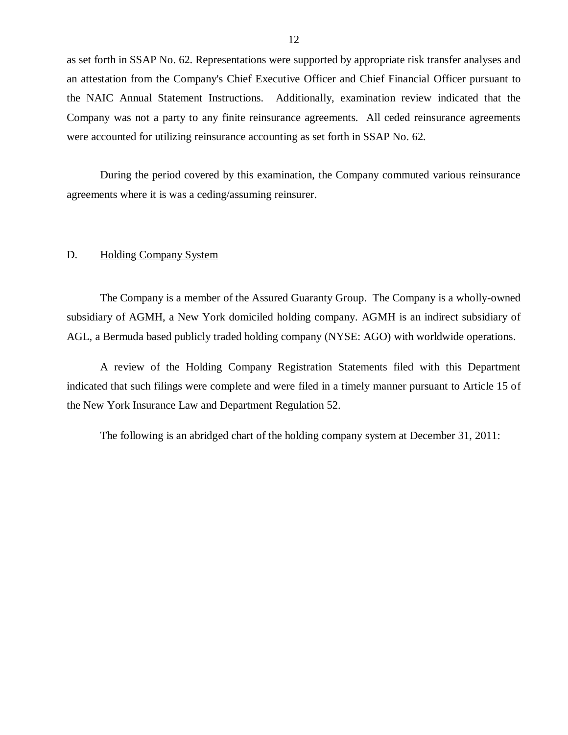<span id="page-13-0"></span>as set forth in SSAP No. 62. Representations were supported by appropriate risk transfer analyses and an attestation from the Company's Chief Executive Officer and Chief Financial Officer pursuant to the NAIC Annual Statement Instructions. Additionally, examination review indicated that the Company was not a party to any finite reinsurance agreements. All ceded reinsurance agreements were accounted for utilizing reinsurance accounting as set forth in SSAP No. 62.

During the period covered by this examination, the Company commuted various reinsurance agreements where it is was a ceding/assuming reinsurer.

#### D. Holding Company System

The Company is a member of the Assured Guaranty Group. The Company is a wholly-owned subsidiary of AGMH, a New York domiciled holding company. AGMH is an indirect subsidiary of AGL, a Bermuda based publicly traded holding company (NYSE: AGO) with worldwide operations.

A review of the Holding Company Registration Statements filed with this Department indicated that such filings were complete and were filed in a timely manner pursuant to Article 15 of the New York Insurance Law and Department Regulation 52.

The following is an abridged chart of the holding company system at December 31, 2011: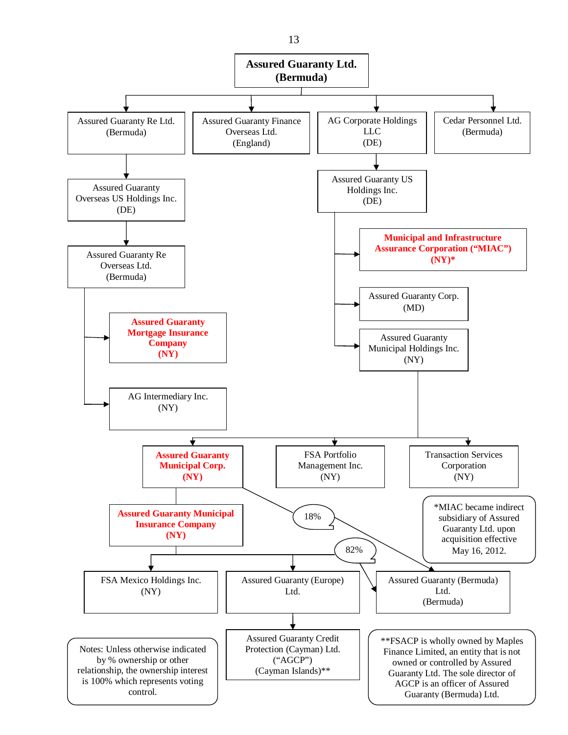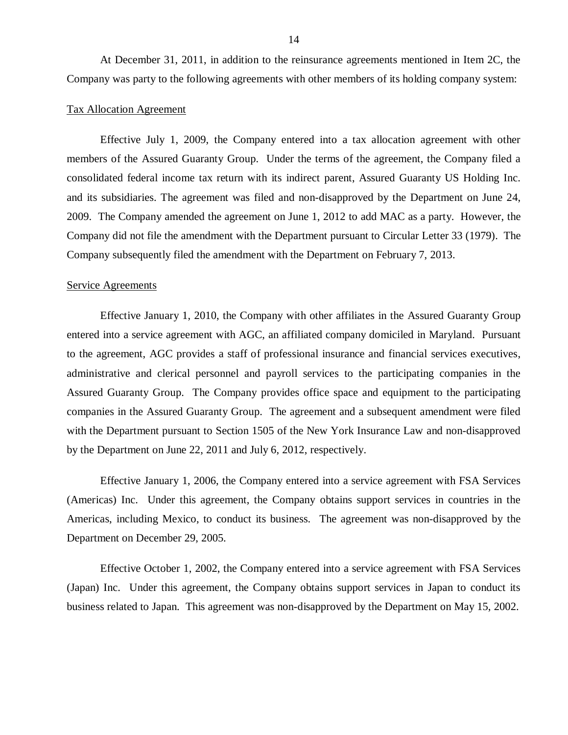At December 31, 2011, in addition to the reinsurance agreements mentioned in Item 2C, the Company was party to the following agreements with other members of its holding company system:

#### Tax Allocation Agreement

Effective July 1, 2009, the Company entered into a tax allocation agreement with other members of the Assured Guaranty Group. Under the terms of the agreement, the Company filed a consolidated federal income tax return with its indirect parent, Assured Guaranty US Holding Inc. and its subsidiaries. The agreement was filed and non-disapproved by the Department on June 24, 2009. The Company amended the agreement on June 1, 2012 to add MAC as a party. However, the Company did not file the amendment with the Department pursuant to Circular Letter 33 (1979). The Company subsequently filed the amendment with the Department on February 7, 2013.

#### Service Agreements

Effective January 1, 2010, the Company with other affiliates in the Assured Guaranty Group entered into a service agreement with AGC, an affiliated company domiciled in Maryland. Pursuant to the agreement, AGC provides a staff of professional insurance and financial services executives, administrative and clerical personnel and payroll services to the participating companies in the Assured Guaranty Group. The Company provides office space and equipment to the participating companies in the Assured Guaranty Group. The agreement and a subsequent amendment were filed with the Department pursuant to Section 1505 of the New York Insurance Law and non-disapproved by the Department on June 22, 2011 and July 6, 2012, respectively.

Effective January 1, 2006, the Company entered into a service agreement with FSA Services (Americas) Inc. Under this agreement, the Company obtains support services in countries in the Americas, including Mexico, to conduct its business. The agreement was non-disapproved by the Department on December 29, 2005.

Effective October 1, 2002, the Company entered into a service agreement with FSA Services (Japan) Inc. Under this agreement, the Company obtains support services in Japan to conduct its business related to Japan. This agreement was non-disapproved by the Department on May 15, 2002.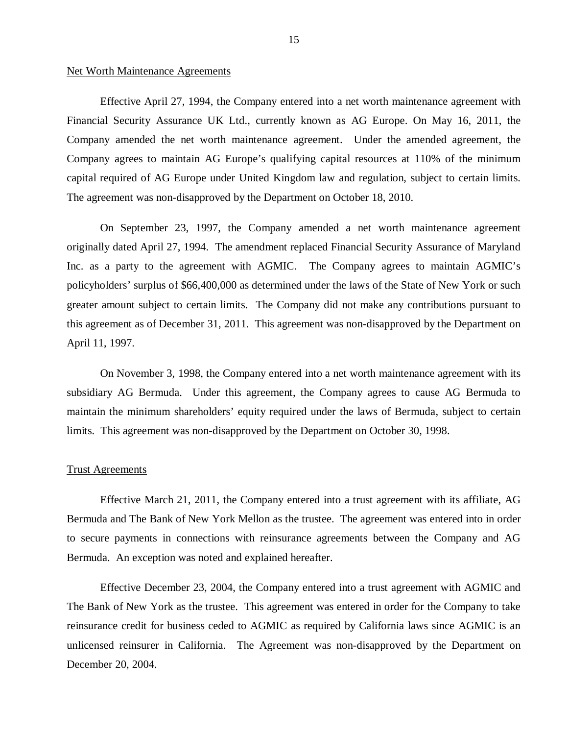#### Net Worth Maintenance Agreements

Effective April 27, 1994, the Company entered into a net worth maintenance agreement with Financial Security Assurance UK Ltd., currently known as AG Europe. On May 16, 2011, the Company amended the net worth maintenance agreement. Under the amended agreement, the Company agrees to maintain AG Europe's qualifying capital resources at 110% of the minimum capital required of AG Europe under United Kingdom law and regulation, subject to certain limits. The agreement was non-disapproved by the Department on October 18, 2010.

On September 23, 1997, the Company amended a net worth maintenance agreement originally dated April 27, 1994. The amendment replaced Financial Security Assurance of Maryland Inc. as a party to the agreement with AGMIC. The Company agrees to maintain AGMIC's policyholders' surplus of \$66,400,000 as determined under the laws of the State of New York or such greater amount subject to certain limits. The Company did not make any contributions pursuant to this agreement as of December 31, 2011. This agreement was non-disapproved by the Department on April 11, 1997.

On November 3, 1998, the Company entered into a net worth maintenance agreement with its subsidiary AG Bermuda. Under this agreement, the Company agrees to cause AG Bermuda to maintain the minimum shareholders' equity required under the laws of Bermuda, subject to certain limits. This agreement was non-disapproved by the Department on October 30, 1998.

#### Trust Agreements

Effective March 21, 2011, the Company entered into a trust agreement with its affiliate, AG Bermuda and The Bank of New York Mellon as the trustee. The agreement was entered into in order to secure payments in connections with reinsurance agreements between the Company and AG Bermuda. An exception was noted and explained hereafter.

Effective December 23, 2004, the Company entered into a trust agreement with AGMIC and The Bank of New York as the trustee. This agreement was entered in order for the Company to take reinsurance credit for business ceded to AGMIC as required by California laws since AGMIC is an unlicensed reinsurer in California. The Agreement was non-disapproved by the Department on December 20, 2004.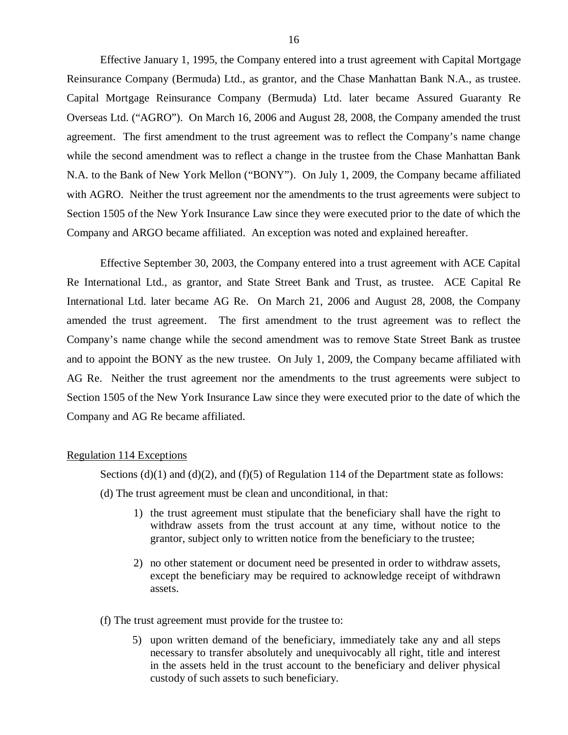Effective January 1, 1995, the Company entered into a trust agreement with Capital Mortgage Reinsurance Company (Bermuda) Ltd., as grantor, and the Chase Manhattan Bank N.A., as trustee. Capital Mortgage Reinsurance Company (Bermuda) Ltd. later became Assured Guaranty Re Overseas Ltd. ("AGRO"). On March 16, 2006 and August 28, 2008, the Company amended the trust agreement. The first amendment to the trust agreement was to reflect the Company's name change while the second amendment was to reflect a change in the trustee from the Chase Manhattan Bank N.A. to the Bank of New York Mellon ("BONY"). On July 1, 2009, the Company became affiliated with AGRO. Neither the trust agreement nor the amendments to the trust agreements were subject to Section 1505 of the New York Insurance Law since they were executed prior to the date of which the Company and ARGO became affiliated. An exception was noted and explained hereafter.

Effective September 30, 2003, the Company entered into a trust agreement with ACE Capital Re International Ltd., as grantor, and State Street Bank and Trust, as trustee. ACE Capital Re International Ltd. later became AG Re. On March 21, 2006 and August 28, 2008, the Company amended the trust agreement. The first amendment to the trust agreement was to reflect the Company's name change while the second amendment was to remove State Street Bank as trustee and to appoint the BONY as the new trustee. On July 1, 2009, the Company became affiliated with AG Re. Neither the trust agreement nor the amendments to the trust agreements were subject to Section 1505 of the New York Insurance Law since they were executed prior to the date of which the Company and AG Re became affiliated.

#### Regulation 114 Exceptions

Sections  $(d)(1)$  and  $(d)(2)$ , and  $(f)(5)$  of Regulation 114 of the Department state as follows: (d) The trust agreement must be clean and unconditional, in that:

- 1) the trust agreement must stipulate that the beneficiary shall have the right to withdraw assets from the trust account at any time, without notice to the grantor, subject only to written notice from the beneficiary to the trustee;
- 2) no other statement or document need be presented in order to withdraw assets, except the beneficiary may be required to acknowledge receipt of withdrawn assets.
- (f) The trust agreement must provide for the trustee to:
	- 5) upon written demand of the beneficiary, immediately take any and all steps necessary to transfer absolutely and unequivocably all right, title and interest in the assets held in the trust account to the beneficiary and deliver physical custody of such assets to such beneficiary.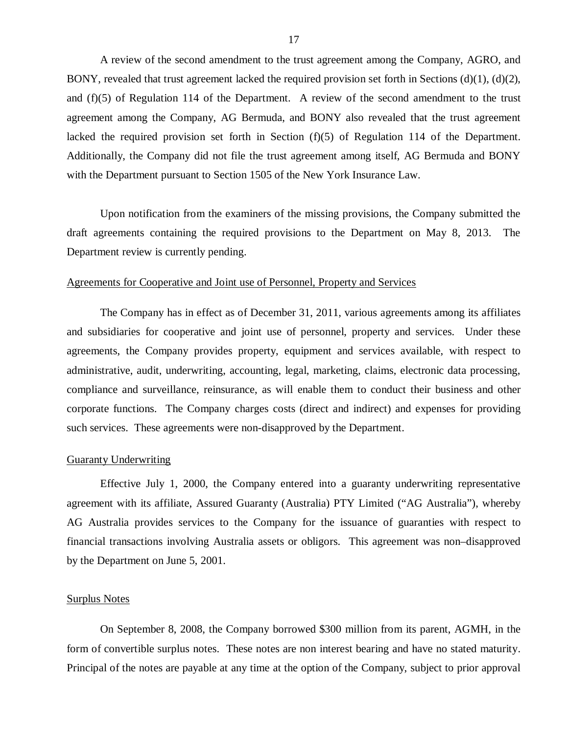A review of the second amendment to the trust agreement among the Company, AGRO, and BONY, revealed that trust agreement lacked the required provision set forth in Sections  $(d)(1)$ ,  $(d)(2)$ , and (f)(5) of Regulation 114 of the Department. A review of the second amendment to the trust agreement among the Company, AG Bermuda, and BONY also revealed that the trust agreement lacked the required provision set forth in Section (f)(5) of Regulation 114 of the Department. Additionally, the Company did not file the trust agreement among itself, AG Bermuda and BONY with the Department pursuant to Section 1505 of the New York Insurance Law.

Upon notification from the examiners of the missing provisions, the Company submitted the draft agreements containing the required provisions to the Department on May 8, 2013. The Department review is currently pending.

### Agreements for Cooperative and Joint use of Personnel, Property and Services

The Company has in effect as of December 31, 2011, various agreements among its affiliates and subsidiaries for cooperative and joint use of personnel, property and services. Under these agreements, the Company provides property, equipment and services available, with respect to administrative, audit, underwriting, accounting, legal, marketing, claims, electronic data processing, compliance and surveillance, reinsurance, as will enable them to conduct their business and other corporate functions. The Company charges costs (direct and indirect) and expenses for providing such services. These agreements were non-disapproved by the Department.

#### Guaranty Underwriting

Effective July 1, 2000, the Company entered into a guaranty underwriting representative agreement with its affiliate, Assured Guaranty (Australia) PTY Limited ("AG Australia"), whereby AG Australia provides services to the Company for the issuance of guaranties with respect to financial transactions involving Australia assets or obligors. This agreement was non–disapproved by the Department on June 5, 2001.

#### Surplus Notes

On September 8, 2008, the Company borrowed \$300 million from its parent, AGMH, in the form of convertible surplus notes. These notes are non interest bearing and have no stated maturity. Principal of the notes are payable at any time at the option of the Company, subject to prior approval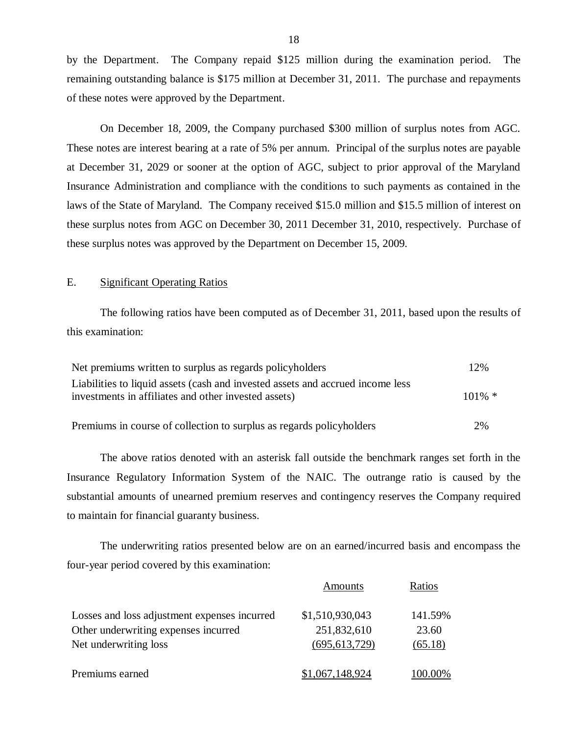by the Department. The Company repaid \$125 million during the examination period. The remaining outstanding balance is \$175 million at December 31, 2011. The purchase and repayments of these notes were approved by the Department.

On December 18, 2009, the Company purchased \$300 million of surplus notes from AGC. These notes are interest bearing at a rate of 5% per annum. Principal of the surplus notes are payable at December 31, 2029 or sooner at the option of AGC, subject to prior approval of the Maryland Insurance Administration and compliance with the conditions to such payments as contained in the laws of the State of Maryland. The Company received \$15.0 million and \$15.5 million of interest on these surplus notes from AGC on December 30, 2011 December 31, 2010, respectively. Purchase of these surplus notes was approved by the Department on December 15, 2009.

#### E. Significant Operating Ratios

The following ratios have been computed as of December 31, 2011, based upon the results of this examination:

| Net premiums written to surplus as regards policyholders                                                                                | 12%       |
|-----------------------------------------------------------------------------------------------------------------------------------------|-----------|
| Liabilities to liquid assets (cash and invested assets and accrued income less)<br>investments in affiliates and other invested assets) | $101\% *$ |
| Premiums in course of collection to surplus as regards policyholders                                                                    | 2%        |

The above ratios denoted with an asterisk fall outside the benchmark ranges set forth in the Insurance Regulatory Information System of the NAIC. The outrange ratio is caused by the substantial amounts of unearned premium reserves and contingency reserves the Company required to maintain for financial guaranty business.

The underwriting ratios presented below are on an earned/incurred basis and encompass the four-year period covered by this examination:

|                                              | Amounts         | Ratios  |
|----------------------------------------------|-----------------|---------|
| Losses and loss adjustment expenses incurred | \$1,510,930,043 | 141.59% |
| Other underwriting expenses incurred         | 251,832,610     | 23.60   |
| Net underwriting loss                        | (695, 613, 729) | (65.18) |
| Premiums earned                              | \$1,067,148,924 | 100.00% |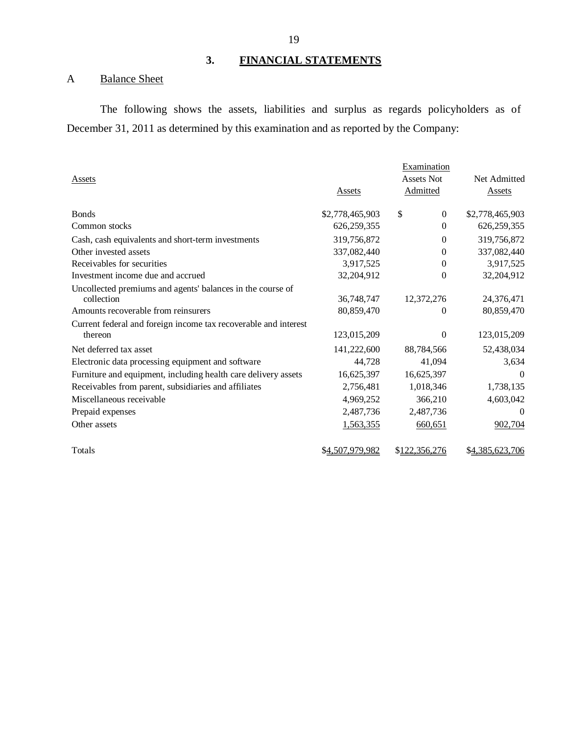## **3. FINANCIAL STATEMENTS**

## A Balance Sheet

The following shows the assets, liabilities and surplus as regards policyholders as of December 31, 2011 as determined by this examination and as reported by the Company:

|                                                                 |                 | Examination       |                 |
|-----------------------------------------------------------------|-----------------|-------------------|-----------------|
| Assets                                                          |                 | <b>Assets Not</b> | Net Admitted    |
|                                                                 | Assets          | Admitted          | <b>Assets</b>   |
| <b>B</b> onds                                                   | \$2,778,465,903 | \$<br>$\Omega$    | \$2,778,465,903 |
| Common stocks                                                   | 626, 259, 355   | $\Omega$          | 626, 259, 355   |
| Cash, cash equivalents and short-term investments               | 319,756,872     | $\Omega$          | 319,756,872     |
| Other invested assets                                           | 337,082,440     | $\Omega$          | 337,082,440     |
| Receivables for securities                                      | 3,917,525       | $\overline{0}$    | 3,917,525       |
| Investment income due and accrued                               | 32,204,912      | 0                 | 32,204,912      |
| Uncollected premiums and agents' balances in the course of      |                 |                   |                 |
| collection                                                      | 36,748,747      | 12,372,276        | 24,376,471      |
| Amounts recoverable from reinsurers                             | 80,859,470      | 0                 | 80,859,470      |
| Current federal and foreign income tax recoverable and interest |                 |                   |                 |
| thereon                                                         | 123,015,209     | 0                 | 123,015,209     |
| Net deferred tax asset                                          | 141,222,600     | 88,784,566        | 52,438,034      |
| Electronic data processing equipment and software               | 44,728          | 41,094            | 3,634           |
| Furniture and equipment, including health care delivery assets  | 16,625,397      | 16,625,397        | $\Omega$        |
| Receivables from parent, subsidiaries and affiliates            | 2,756,481       | 1,018,346         | 1,738,135       |
| Miscellaneous receivable                                        | 4,969,252       | 366,210           | 4,603,042       |
| Prepaid expenses                                                | 2,487,736       | 2,487,736         |                 |
| Other assets                                                    | 1,563,355       | 660,651           | 902,704         |
| Totals                                                          | \$4,507,979,982 | \$122,356,276     | \$4,385,623,706 |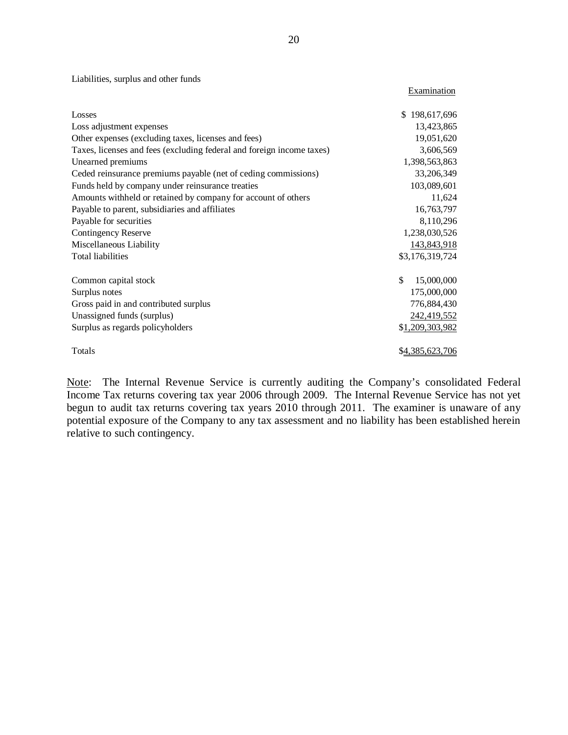Liabilities, surplus and other funds

| Losses                                                                | \$198,617,696    |
|-----------------------------------------------------------------------|------------------|
| Loss adjustment expenses                                              | 13,423,865       |
| Other expenses (excluding taxes, licenses and fees)                   | 19,051,620       |
| Taxes, licenses and fees (excluding federal and foreign income taxes) | 3,606,569        |
| Unearned premiums                                                     | 1,398,563,863    |
| Ceded reinsurance premiums payable (net of ceding commissions)        | 33,206,349       |
| Funds held by company under reinsurance treaties                      | 103,089,601      |
| Amounts withheld or retained by company for account of others         | 11,624           |
| Payable to parent, subsidiaries and affiliates                        | 16,763,797       |
| Payable for securities                                                | 8,110,296        |
| <b>Contingency Reserve</b>                                            | 1,238,030,526    |
| Miscellaneous Liability                                               | 143,843,918      |
| <b>Total liabilities</b>                                              | \$3,176,319,724  |
|                                                                       |                  |
| Common capital stock                                                  | \$<br>15,000,000 |
| Surplus notes                                                         | 175,000,000      |
| Gross paid in and contributed surplus                                 | 776,884,430      |
| Unassigned funds (surplus)                                            | 242,419,552      |
| Surplus as regards policyholders                                      | \$1,209,303,982  |
|                                                                       |                  |
| Totals                                                                | \$4,385,623,706  |

Note: The Internal Revenue Service is currently auditing the Company's consolidated Federal Income Tax returns covering tax year 2006 through 2009. The Internal Revenue Service has not yet begun to audit tax returns covering tax years 2010 through 2011. The examiner is unaware of any potential exposure of the Company to any tax assessment and no liability has been established herein relative to such contingency.

**Examination**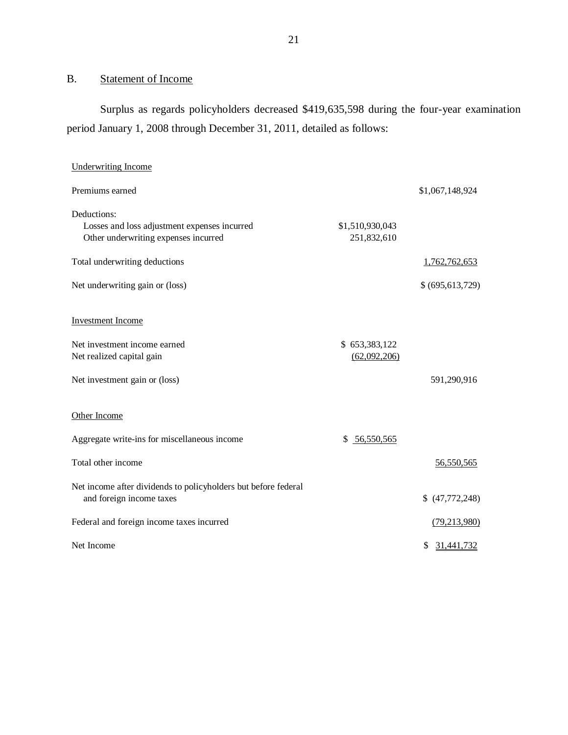## <span id="page-22-0"></span>B. Statement of Income

Surplus as regards policyholders decreased \$419,635,598 during the four-year examination period January 1, 2008 through December 31, 2011, detailed as follows:

| <b>Underwriting Income</b>                                                                 |                 |                  |
|--------------------------------------------------------------------------------------------|-----------------|------------------|
| Premiums earned                                                                            |                 | \$1,067,148,924  |
| Deductions:                                                                                |                 |                  |
| Losses and loss adjustment expenses incurred                                               | \$1,510,930,043 |                  |
| Other underwriting expenses incurred                                                       | 251,832,610     |                  |
| Total underwriting deductions                                                              |                 | 1,762,762,653    |
| Net underwriting gain or (loss)                                                            |                 | \$(695,613,729)  |
| <b>Investment Income</b>                                                                   |                 |                  |
| Net investment income earned                                                               | \$653,383,122   |                  |
| Net realized capital gain                                                                  | (62,092,206)    |                  |
| Net investment gain or (loss)                                                              |                 | 591,290,916      |
| Other Income                                                                               |                 |                  |
| Aggregate write-ins for miscellaneous income                                               | \$56,550,565    |                  |
| Total other income                                                                         |                 | 56,550,565       |
| Net income after dividends to policyholders but before federal<br>and foreign income taxes |                 | (47,772,248)     |
| Federal and foreign income taxes incurred                                                  |                 | (79, 213, 980)   |
| Net Income                                                                                 |                 | 31,441,732<br>\$ |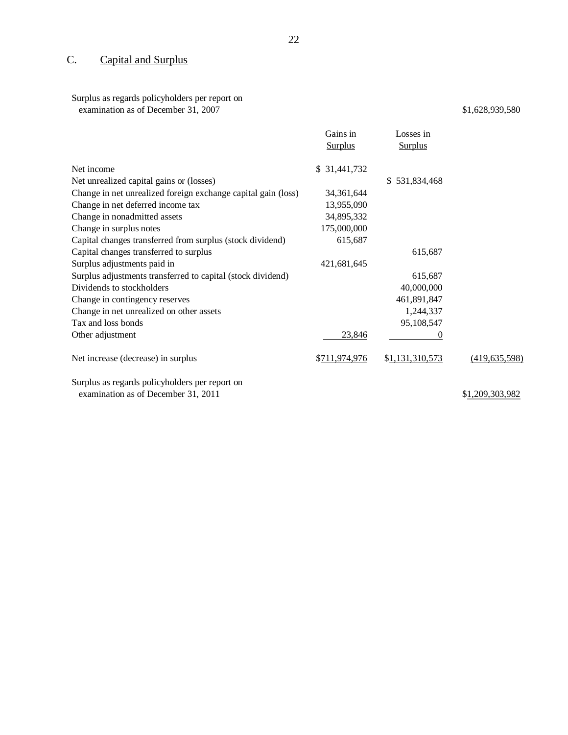## C. Capital and Surplus

## Surplus as regards policyholders per report on

examination as of December 31, 2007

\$1,628,939,580

|                                                               | Gains in<br><b>Surplus</b> | Losses in<br><b>Surplus</b> |                 |
|---------------------------------------------------------------|----------------------------|-----------------------------|-----------------|
|                                                               |                            |                             |                 |
| Net income                                                    | \$ 31,441,732              |                             |                 |
| Net unrealized capital gains or (losses)                      |                            | \$531,834,468               |                 |
| Change in net unrealized foreign exchange capital gain (loss) | 34,361,644                 |                             |                 |
| Change in net deferred income tax                             | 13,955,090                 |                             |                 |
| Change in nonadmitted assets                                  | 34,895,332                 |                             |                 |
| Change in surplus notes                                       | 175,000,000                |                             |                 |
| Capital changes transferred from surplus (stock dividend)     | 615,687                    |                             |                 |
| Capital changes transferred to surplus                        |                            | 615,687                     |                 |
| Surplus adjustments paid in                                   | 421,681,645                |                             |                 |
| Surplus adjustments transferred to capital (stock dividend)   |                            | 615,687                     |                 |
| Dividends to stockholders                                     |                            | 40,000,000                  |                 |
| Change in contingency reserves                                |                            | 461,891,847                 |                 |
| Change in net unrealized on other assets                      |                            | 1,244,337                   |                 |
| Tax and loss bonds                                            |                            | 95,108,547                  |                 |
| Other adjustment                                              | 23,846                     | $\theta$                    |                 |
| Net increase (decrease) in surplus                            | \$711,974,976              | \$1,131,310,573             | (419, 635, 598) |
| Surplus as regards policyholders per report on                |                            |                             |                 |
| examination as of December 31, 2011                           |                            |                             | \$1,209,303,982 |

22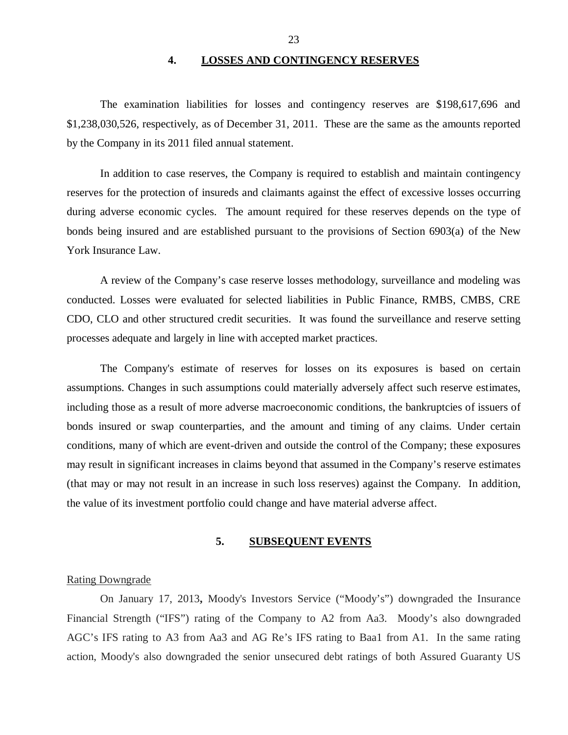#### **4. LOSSES AND CONTINGENCY RESERVES**

<span id="page-24-0"></span>The examination liabilities for losses and contingency reserves are \$198,617,696 and \$1,238,030,526, respectively, as of December 31, 2011. These are the same as the amounts reported by the Company in its 2011 filed annual statement.

In addition to case reserves, the Company is required to establish and maintain contingency reserves for the protection of insureds and claimants against the effect of excessive losses occurring during adverse economic cycles. The amount required for these reserves depends on the type of bonds being insured and are established pursuant to the provisions of Section 6903(a) of the New York Insurance Law.

A review of the Company's case reserve losses methodology, surveillance and modeling was conducted. Losses were evaluated for selected liabilities in Public Finance, RMBS, CMBS, CRE CDO, CLO and other structured credit securities. It was found the surveillance and reserve setting processes adequate and largely in line with accepted market practices.

The Company's estimate of reserves for losses on its exposures is based on certain assumptions. Changes in such assumptions could materially adversely affect such reserve estimates, including those as a result of more adverse macroeconomic conditions, the bankruptcies of issuers of bonds insured or swap counterparties, and the amount and timing of any claims. Under certain conditions, many of which are event-driven and outside the control of the Company; these exposures may result in significant increases in claims beyond that assumed in the Company's reserve estimates (that may or may not result in an increase in such loss reserves) against the Company. In addition, the value of its investment portfolio could change and have material adverse affect.

#### **5. SUBSEQUENT EVENTS**

#### Rating Downgrade

On January 17, 2013**,** Moody's Investors Service ("Moody's") downgraded the Insurance Financial Strength ("IFS") rating of the Company to A2 from Aa3. Moody's also downgraded AGC's IFS rating to A3 from Aa3 and AG Re's IFS rating to Baa1 from A1. In the same rating action, Moody's also downgraded the senior unsecured debt ratings of both Assured Guaranty US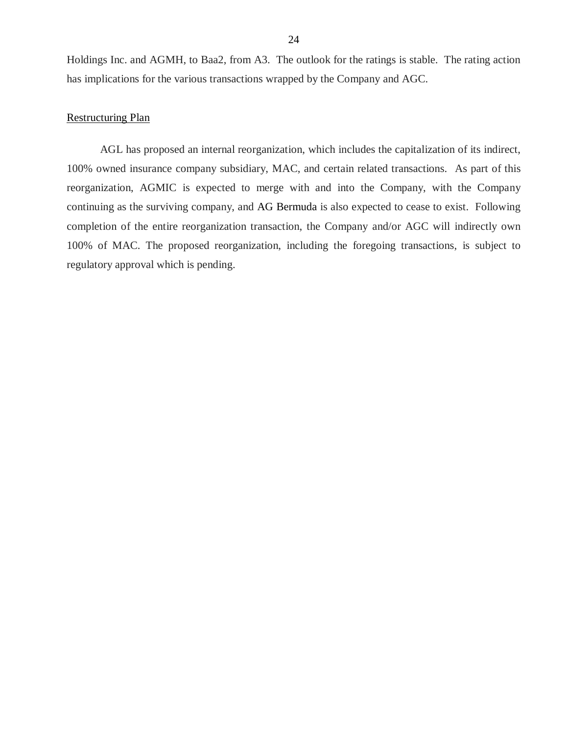Holdings Inc. and AGMH, to Baa2, from A3. The outlook for the ratings is stable. The rating action has implications for the various transactions wrapped by the Company and AGC.

#### Restructuring Plan

AGL has proposed an internal reorganization, which includes the capitalization of its indirect, 100% owned insurance company subsidiary, MAC, and certain related transactions. As part of this reorganization, AGMIC is expected to merge with and into the Company, with the Company continuing as the surviving company, and AG Bermuda is also expected to cease to exist. Following completion of the entire reorganization transaction, the Company and/or AGC will indirectly own 100% of MAC. The proposed reorganization, including the foregoing transactions, is subject to regulatory approval which is pending.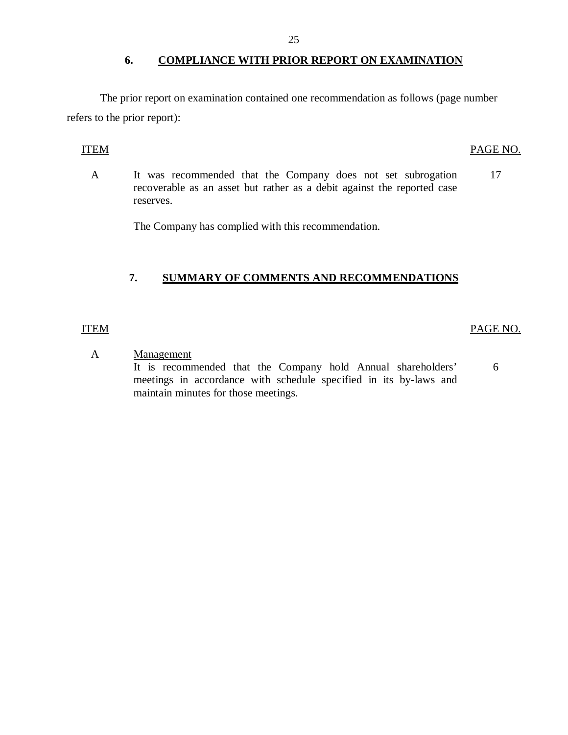#### **6. COMPLIANCE WITH PRIOR REPORT ON EXAMINATION**

The prior report on examination contained one recommendation as follows (page number refers to the prior report):

#### ITEM PAGE NO.

A It was recommended that the Company does not set subrogation recoverable as an asset but rather as a debit against the reported case reserves. 17

The Company has complied with this recommendation.

### **7. SUMMARY OF COMMENTS AND RECOMMENDATIONS**

#### ITEM

#### PAGE NO.

6

A Management

It is recommended that the Company hold Annual shareholders' meetings in accordance with schedule specified in its by-laws and maintain minutes for those meetings.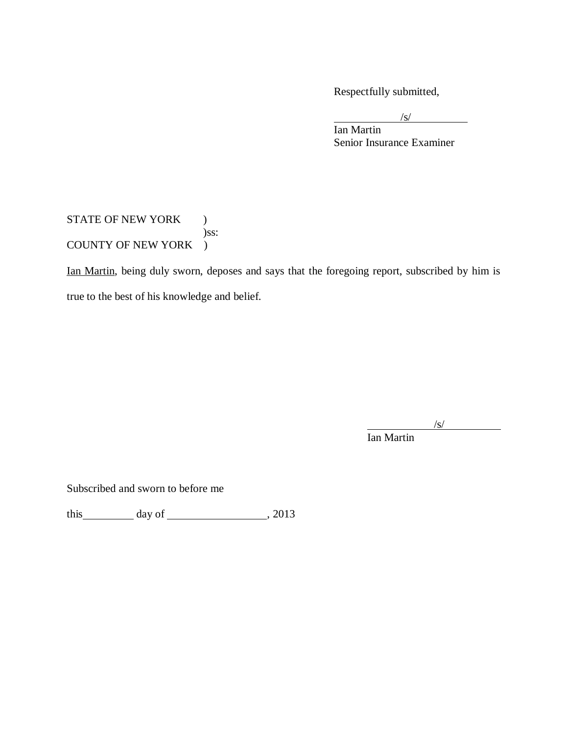Respectfully submitted,

 $\sqrt{s}$ /

Ian Martin Senior Insurance Examiner

### STATE OF NEW YORK ) )ss: COUNTY OF NEW YORK )

Ian Martin, being duly sworn, deposes and says that the foregoing report, subscribed by him is true to the best of his knowledge and belief.

 $\sqrt{s}$ /

Ian Martin

Subscribed and sworn to before me

this day of , 2013